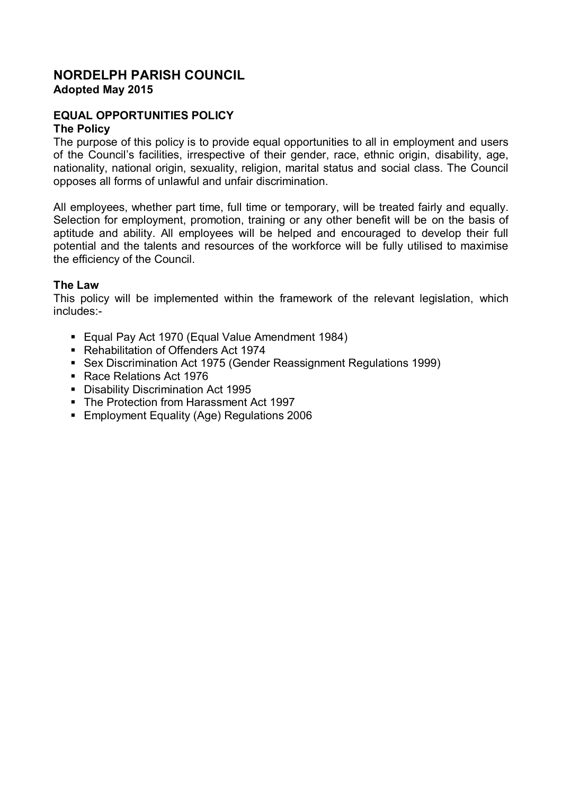### **NORDELPH PARISH COUNCIL Adopted May 2015**

# **EQUAL OPPORTUNITIES POLICY**

#### **The Policy**

The purpose of this policy is to provide equal opportunities to all in employment and users of the Council's facilities, irrespective of their gender, race, ethnic origin, disability, age, nationality, national origin, sexuality, religion, marital status and social class. The Council opposes all forms of unlawful and unfair discrimination.

All employees, whether part time, full time or temporary, will be treated fairly and equally. Selection for employment, promotion, training or any other benefit will be on the basis of aptitude and ability. All employees will be helped and encouraged to develop their full potential and the talents and resources of the workforce will be fully utilised to maximise the efficiency of the Council.

#### **The Law**

This policy will be implemented within the framework of the relevant legislation, which includes:-

- Equal Pay Act 1970 (Equal Value Amendment 1984)
- Rehabilitation of Offenders Act 1974
- Sex Discrimination Act 1975 (Gender Reassignment Regulations 1999)
- Race Relations Act 1976
- Disability Discrimination Act 1995
- The Protection from Harassment Act 1997
- Employment Equality (Age) Regulations 2006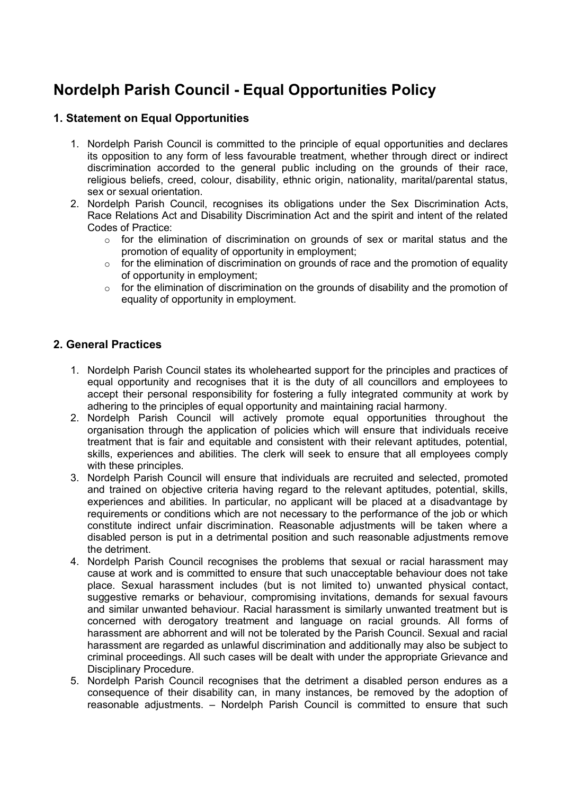# **Nordelph Parish Council - Equal Opportunities Policy**

# **1. Statement on Equal Opportunities**

- 1. Nordelph Parish Council is committed to the principle of equal opportunities and declares its opposition to any form of less favourable treatment, whether through direct or indirect discrimination accorded to the general public including on the grounds of their race, religious beliefs, creed, colour, disability, ethnic origin, nationality, marital/parental status, sex or sexual orientation.
- 2. Nordelph Parish Council, recognises its obligations under the Sex Discrimination Acts, Race Relations Act and Disability Discrimination Act and the spirit and intent of the related Codes of Practice:
	- $\circ$  for the elimination of discrimination on grounds of sex or marital status and the promotion of equality of opportunity in employment;
	- o for the elimination of discrimination on grounds of race and the promotion of equality of opportunity in employment;
	- $\circ$  for the elimination of discrimination on the grounds of disability and the promotion of equality of opportunity in employment.

### **2. General Practices**

- 1. Nordelph Parish Council states its wholehearted support for the principles and practices of equal opportunity and recognises that it is the duty of all councillors and employees to accept their personal responsibility for fostering a fully integrated community at work by adhering to the principles of equal opportunity and maintaining racial harmony.
- 2. Nordelph Parish Council will actively promote equal opportunities throughout the organisation through the application of policies which will ensure that individuals receive treatment that is fair and equitable and consistent with their relevant aptitudes, potential, skills, experiences and abilities. The clerk will seek to ensure that all employees comply with these principles.
- 3. Nordelph Parish Council will ensure that individuals are recruited and selected, promoted and trained on objective criteria having regard to the relevant aptitudes, potential, skills, experiences and abilities. In particular, no applicant will be placed at a disadvantage by requirements or conditions which are not necessary to the performance of the job or which constitute indirect unfair discrimination. Reasonable adjustments will be taken where a disabled person is put in a detrimental position and such reasonable adjustments remove the detriment.
- 4. Nordelph Parish Council recognises the problems that sexual or racial harassment may cause at work and is committed to ensure that such unacceptable behaviour does not take place. Sexual harassment includes (but is not limited to) unwanted physical contact, suggestive remarks or behaviour, compromising invitations, demands for sexual favours and similar unwanted behaviour. Racial harassment is similarly unwanted treatment but is concerned with derogatory treatment and language on racial grounds. All forms of harassment are abhorrent and will not be tolerated by the Parish Council. Sexual and racial harassment are regarded as unlawful discrimination and additionally may also be subject to criminal proceedings. All such cases will be dealt with under the appropriate Grievance and Disciplinary Procedure.
- 5. Nordelph Parish Council recognises that the detriment a disabled person endures as a consequence of their disability can, in many instances, be removed by the adoption of reasonable adjustments. – Nordelph Parish Council is committed to ensure that such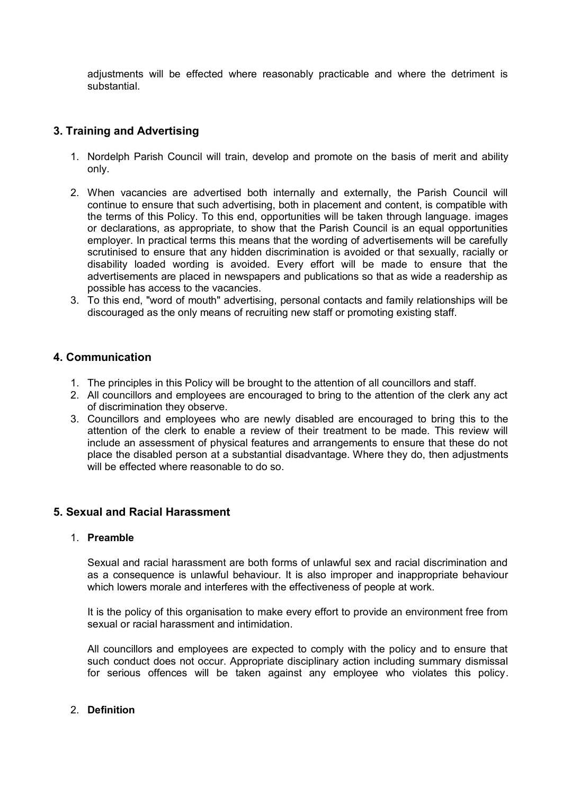adjustments will be effected where reasonably practicable and where the detriment is substantial.

# **3. Training and Advertising**

- 1. Nordelph Parish Council will train, develop and promote on the basis of merit and ability only.
- 2. When vacancies are advertised both internally and externally, the Parish Council will continue to ensure that such advertising, both in placement and content, is compatible with the terms of this Policy. To this end, opportunities will be taken through language. images or declarations, as appropriate, to show that the Parish Council is an equal opportunities employer. In practical terms this means that the wording of advertisements will be carefully scrutinised to ensure that any hidden discrimination is avoided or that sexually, racially or disability loaded wording is avoided. Every effort will be made to ensure that the advertisements are placed in newspapers and publications so that as wide a readership as possible has access to the vacancies.
- 3. To this end, "word of mouth" advertising, personal contacts and family relationships will be discouraged as the only means of recruiting new staff or promoting existing staff.

### **4. Communication**

- 1. The principles in this Policy will be brought to the attention of all councillors and staff.
- 2. All councillors and employees are encouraged to bring to the attention of the clerk any act of discrimination they observe.
- 3. Councillors and employees who are newly disabled are encouraged to bring this to the attention of the clerk to enable a review of their treatment to be made. This review will include an assessment of physical features and arrangements to ensure that these do not place the disabled person at a substantial disadvantage. Where they do, then adjustments will be effected where reasonable to do so.

### **5. Sexual and Racial Harassment**

#### 1. **Preamble**

Sexual and racial harassment are both forms of unlawful sex and racial discrimination and as a consequence is unlawful behaviour. It is also improper and inappropriate behaviour which lowers morale and interferes with the effectiveness of people at work.

It is the policy of this organisation to make every effort to provide an environment free from sexual or racial harassment and intimidation.

All councillors and employees are expected to comply with the policy and to ensure that such conduct does not occur. Appropriate disciplinary action including summary dismissal for serious offences will be taken against any employee who violates this policy.

#### 2. **Definition**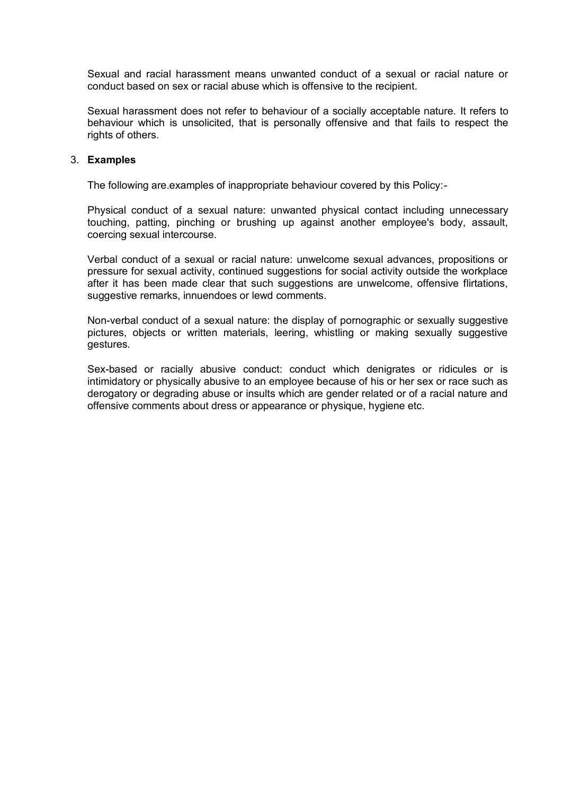Sexual and racial harassment means unwanted conduct of a sexual or racial nature or conduct based on sex or racial abuse which is offensive to the recipient.

Sexual harassment does not refer to behaviour of a socially acceptable nature. It refers to behaviour which is unsolicited, that is personally offensive and that fails to respect the rights of others.

#### 3. **Examples**

The following are.examples of inappropriate behaviour covered by this Policy:-

Physical conduct of a sexual nature: unwanted physical contact including unnecessary touching, patting, pinching or brushing up against another employee's body, assault, coercing sexual intercourse.

Verbal conduct of a sexual or racial nature: unwelcome sexual advances, propositions or pressure for sexual activity, continued suggestions for social activity outside the workplace after it has been made clear that such suggestions are unwelcome, offensive flirtations, suggestive remarks, innuendoes or lewd comments.

Non-verbal conduct of a sexual nature: the display of pornographic or sexually suggestive pictures, objects or written materials, leering, whistling or making sexually suggestive gestures.

Sex-based or racially abusive conduct: conduct which denigrates or ridicules or is intimidatory or physically abusive to an employee because of his or her sex or race such as derogatory or degrading abuse or insults which are gender related or of a racial nature and offensive comments about dress or appearance or physique, hygiene etc.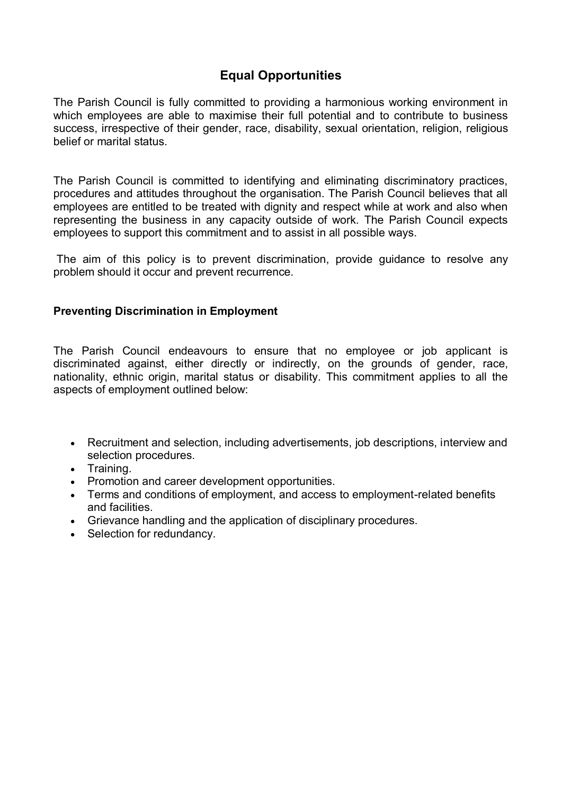# **Equal Opportunities**

The Parish Council is fully committed to providing a harmonious working environment in which employees are able to maximise their full potential and to contribute to business success, irrespective of their gender, race, disability, sexual orientation, religion, religious belief or marital status.

The Parish Council is committed to identifying and eliminating discriminatory practices, procedures and attitudes throughout the organisation. The Parish Council believes that all employees are entitled to be treated with dignity and respect while at work and also when representing the business in any capacity outside of work. The Parish Council expects employees to support this commitment and to assist in all possible ways.

The aim of this policy is to prevent discrimination, provide guidance to resolve any problem should it occur and prevent recurrence.

# **Preventing Discrimination in Employment**

The Parish Council endeavours to ensure that no employee or job applicant is discriminated against, either directly or indirectly, on the grounds of gender, race, nationality, ethnic origin, marital status or disability. This commitment applies to all the aspects of employment outlined below:

- Recruitment and selection, including advertisements, job descriptions, interview and selection procedures.
- Training.
- Promotion and career development opportunities.
- Terms and conditions of employment, and access to employment-related benefits and facilities.
- Grievance handling and the application of disciplinary procedures.
- Selection for redundancy.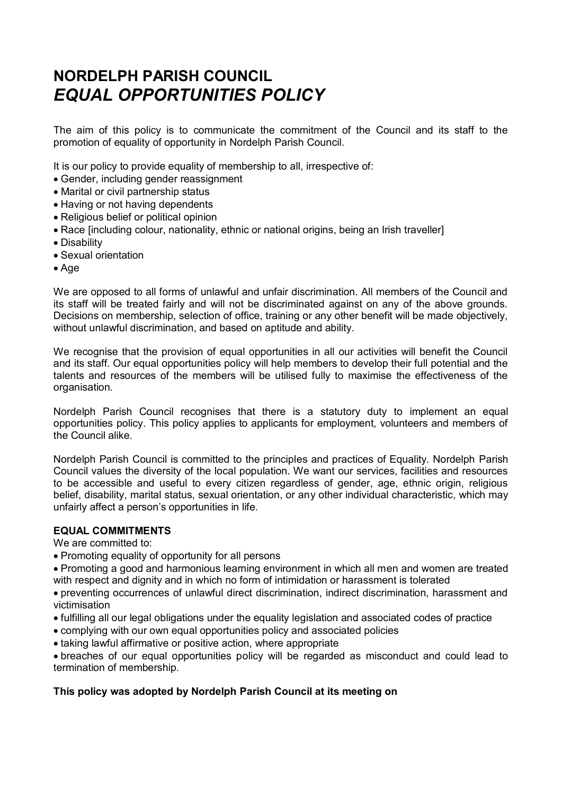# **NORDELPH PARISH COUNCIL** *EQUAL OPPORTUNITIES POLICY*

The aim of this policy is to communicate the commitment of the Council and its staff to the promotion of equality of opportunity in Nordelph Parish Council.

It is our policy to provide equality of membership to all, irrespective of:

- Gender, including gender reassignment
- Marital or civil partnership status
- Having or not having dependents
- Religious belief or political opinion
- Race [including colour, nationality, ethnic or national origins, being an Irish traveller]
- Disability
- Sexual orientation
- Age

We are opposed to all forms of unlawful and unfair discrimination. All members of the Council and its staff will be treated fairly and will not be discriminated against on any of the above grounds. Decisions on membership, selection of office, training or any other benefit will be made objectively, without unlawful discrimination, and based on aptitude and ability.

We recognise that the provision of equal opportunities in all our activities will benefit the Council and its staff*.* Our equal opportunities policy will help members to develop their full potential and the talents and resources of the members will be utilised fully to maximise the effectiveness of the organisation.

Nordelph Parish Council recognises that there is a statutory duty to implement an equal opportunities policy. This policy applies to applicants for employment, volunteers and members of the Council alike.

Nordelph Parish Council is committed to the principles and practices of Equality. Nordelph Parish Council values the diversity of the local population. We want our services, facilities and resources to be accessible and useful to every citizen regardless of gender, age, ethnic origin, religious belief, disability, marital status, sexual orientation, or any other individual characteristic, which may unfairly affect a person's opportunities in life.

#### **EQUAL COMMITMENTS**

We are committed to:

• Promoting equality of opportunity for all persons

Promoting a good and harmonious learning environment in which all men and women are treated with respect and dignity and in which no form of intimidation or harassment is tolerated

preventing occurrences of unlawful direct discrimination, indirect discrimination, harassment and victimisation

- fulfilling all our legal obligations under the equality legislation and associated codes of practice
- complying with our own equal opportunities policy and associated policies
- taking lawful affirmative or positive action, where appropriate

breaches of our equal opportunities policy will be regarded as misconduct and could lead to termination of membership.

### **This policy was adopted by Nordelph Parish Council at its meeting on**